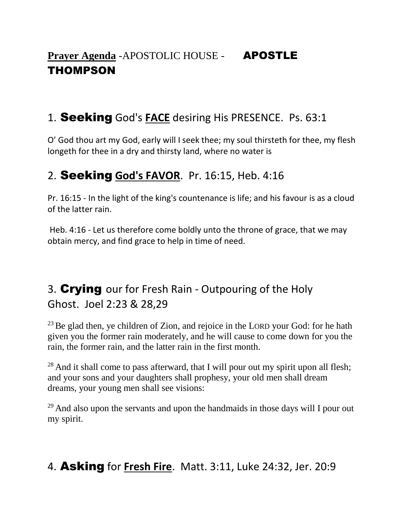# **Prayer Agenda** -APOSTOLIC HOUSE - **APOSTLE** THOMPSON

#### 1. Seeking God's **FACE** desiring His PRESENCE. Ps. 63:1

O' God thou art my God, early will I seek thee; my soul thirsteth for thee, my flesh longeth for thee in a dry and thirsty land, where no water is

#### 2. Seeking **God's FAVOR**. Pr. 16:15, Heb. 4:16

Pr. 16:15 - In the light of the king's countenance is life; and his favour is as a cloud of the latter rain.

Heb. 4:16 - Let us therefore come boldly unto the throne of grace, that we may obtain mercy, and find grace to help in time of need.

# 3. Crying our for Fresh Rain - Outpouring of the Holy Ghost. Joel 2:23 & 28,29

 $23$  Be glad then, ye children of Zion, and rejoice in the LORD your God: for he hath given you the former rain moderately, and he will cause to come down for you the rain, the former rain, and the latter rain in the first month.

 $28$  And it shall come to pass afterward, that I will pour out my spirit upon all flesh; and your sons and your daughters shall prophesy, your old men shall dream dreams, your young men shall see visions:

<sup>29</sup> And also upon the servants and upon the handmaids in those days will I pour out my spirit.

### 4. Asking for **Fresh Fire**. Matt. 3:11, Luke 24:32, Jer. 20:9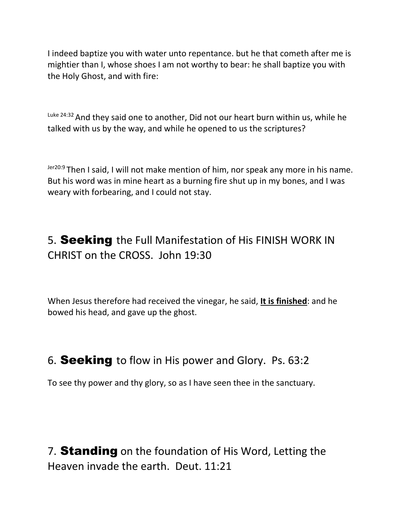I indeed baptize you with water unto repentance. but he that cometh after me is mightier than I, whose shoes I am not worthy to bear: he shall baptize you with the Holy Ghost, and with fire:

 $Luke$  24:32 And they said one to another, Did not our heart burn within us, while he talked with us by the way, and while he opened to us the scriptures?

Jer20:9 Then I said, I will not make mention of him, nor speak any more in his name. But his word was in mine heart as a burning fire shut up in my bones, and I was weary with forbearing, and I could not stay.

# 5. Seeking the Full Manifestation of His FINISH WORK IN CHRIST on the CROSS. John 19:30

When Jesus therefore had received the vinegar, he said, **It is finished**: and he bowed his head, and gave up the ghost.

### 6. Seeking to flow in His power and Glory. Ps. 63:2

To see thy power and thy glory, so as I have seen thee in the sanctuary.

7. Standing on the foundation of His Word, Letting the Heaven invade the earth. Deut. 11:21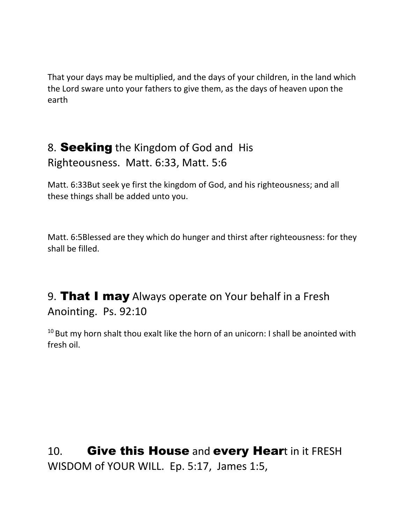That your days may be multiplied, and the days of your children, in the land which the Lord sware unto your fathers to give them, as the days of heaven upon the earth

# 8. Seeking the Kingdom of God and His Righteousness. Matt. 6:33, Matt. 5:6

Matt. 6:33But seek ye first the kingdom of God, and his righteousness; and all these things shall be added unto you.

Matt. 6:5Blessed are they which do hunger and thirst after righteousness: for they shall be filled.

# 9. That I may Always operate on Your behalf in a Fresh Anointing. Ps. 92:10

 $10$  But my horn shalt thou exalt like the horn of an unicorn: I shall be anointed with fresh oil.

10. Give this House and every Heart in it FRESH WISDOM of YOUR WILL. Ep. 5:17, James 1:5,